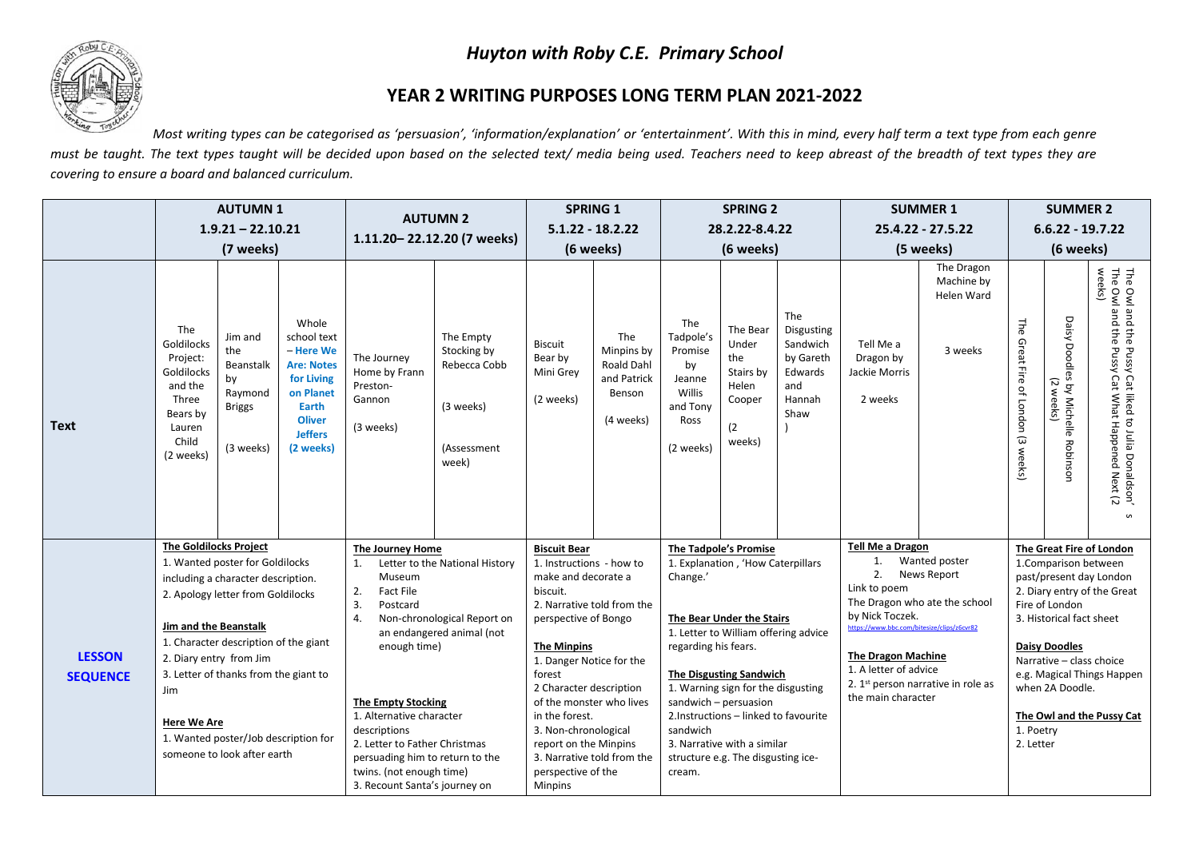## *Huyton with Roby C.E. Primary School*



## **YEAR 2 WRITING PURPOSES LONG TERM PLAN 2021-2022**

*Most writing types can be categorised as 'persuasion', 'information/explanation' or 'entertainment'. With this in mind, every half term a text type from each genre* must be taught. The text types taught will be decided upon based on the selected text/ media being used. Teachers need to keep abreast of the breadth of text types they are *covering to ensure a board and balanced curriculum.* 

|                                  | <b>AUTUMN1</b><br>$1.9.21 - 22.10.21$<br>(7 weeks)                                                                                                                                                                                                                                                                                                                             |                                                                            |                                                                                                                                                                                                                                                              | <b>AUTUMN 2</b><br>1.11.20-22.12.20 (7 weeks)                                                                                                                                                                                        |                                                                               | <b>SPRING 1</b><br>$5.1.22 - 18.2.22$                                                                                                                                                                                                                                                         |                                                                       | <b>SPRING 2</b><br>28.2.22-8.4.22                                                                                                                                                                                                                                                                                                             |                                                                           |                                                                                                                                                                                                                                                                                     | <b>SUMMER 1</b><br>$25.4.22 - 27.5.22$             |                                                          | <b>SUMMER 2</b>                                                                                                                            |                                                                                                                                               |                                                                                                                       |
|----------------------------------|--------------------------------------------------------------------------------------------------------------------------------------------------------------------------------------------------------------------------------------------------------------------------------------------------------------------------------------------------------------------------------|----------------------------------------------------------------------------|--------------------------------------------------------------------------------------------------------------------------------------------------------------------------------------------------------------------------------------------------------------|--------------------------------------------------------------------------------------------------------------------------------------------------------------------------------------------------------------------------------------|-------------------------------------------------------------------------------|-----------------------------------------------------------------------------------------------------------------------------------------------------------------------------------------------------------------------------------------------------------------------------------------------|-----------------------------------------------------------------------|-----------------------------------------------------------------------------------------------------------------------------------------------------------------------------------------------------------------------------------------------------------------------------------------------------------------------------------------------|---------------------------------------------------------------------------|-------------------------------------------------------------------------------------------------------------------------------------------------------------------------------------------------------------------------------------------------------------------------------------|----------------------------------------------------|----------------------------------------------------------|--------------------------------------------------------------------------------------------------------------------------------------------|-----------------------------------------------------------------------------------------------------------------------------------------------|-----------------------------------------------------------------------------------------------------------------------|
|                                  |                                                                                                                                                                                                                                                                                                                                                                                |                                                                            |                                                                                                                                                                                                                                                              |                                                                                                                                                                                                                                      |                                                                               |                                                                                                                                                                                                                                                                                               |                                                                       |                                                                                                                                                                                                                                                                                                                                               |                                                                           |                                                                                                                                                                                                                                                                                     |                                                    |                                                          | $6.6.22 - 19.7.22$                                                                                                                         |                                                                                                                                               |                                                                                                                       |
|                                  |                                                                                                                                                                                                                                                                                                                                                                                |                                                                            |                                                                                                                                                                                                                                                              |                                                                                                                                                                                                                                      |                                                                               | (6 weeks)                                                                                                                                                                                                                                                                                     |                                                                       | (6 weeks)                                                                                                                                                                                                                                                                                                                                     |                                                                           | (5 weeks)                                                                                                                                                                                                                                                                           |                                                    | (6 weeks)                                                |                                                                                                                                            |                                                                                                                                               |                                                                                                                       |
| <b>Text</b>                      | The<br>Goldilocks<br>Project:<br>Goldilocks<br>and the<br>Three<br>Bears by<br>Lauren<br>Child<br>(2 weeks)                                                                                                                                                                                                                                                                    | Jim and<br>the<br>Beanstalk<br>by<br>Raymond<br><b>Briggs</b><br>(3 weeks) | Whole<br>school text<br>- Here We<br><b>Are: Notes</b><br>for Living<br>on Planet<br>Earth<br><b>Oliver</b><br><b>Jeffers</b><br>(2 weeks)                                                                                                                   | The Journey<br>Home by Frann<br>Preston-<br>Gannon<br>(3 weeks)                                                                                                                                                                      | The Empty<br>Stocking by<br>Rebecca Cobb<br>(3 weeks)<br>(Assessment<br>week) | <b>Biscuit</b><br>Bear by<br>Mini Grey<br>(2 weeks)                                                                                                                                                                                                                                           | The<br>Minpins by<br>Roald Dahl<br>and Patrick<br>Benson<br>(4 weeks) | The<br>Tadpole's<br>Promise<br>by<br>Jeanne<br>Willis<br>and Tony<br>Ross<br>(2 weeks)                                                                                                                                                                                                                                                        | The Bear<br>Under<br>the<br>Stairs by<br>Helen<br>Cooper<br>(2)<br>weeks) | The<br><b>Disgusting</b><br>Sandwich<br>by Gareth<br>Edwards<br>and<br>Hannah<br>Shaw                                                                                                                                                                                               | Tell Me a<br>Dragon by<br>Jackie Morris<br>2 weeks | The Dragon<br>Machine by<br><b>Helen Ward</b><br>3 weeks | 부<br>Great Fire of London (3 weeks)                                                                                                        | Daisy Doodles<br>7<br>by Michelle Robinsor<br>$\lessapprox$<br>eks                                                                            | The Owl and the Pussy Cat liked to Julia Donaldson'<br>The Owl and the Pussy Cat What Happened Next (2<br>weeks)<br>S |
| <b>LESSON</b><br><b>SEQUENCE</b> | The Goldilocks Project<br>1. Wanted poster for Goldilocks<br>including a character description.<br>2. Apology letter from Goldilocks<br>Jim and the Beanstalk<br>1. Character description of the giant<br>2. Diary entry from Jim<br>3. Letter of thanks from the giant to<br>Jim<br><b>Here We Are</b><br>1. Wanted poster/Job description for<br>someone to look after earth |                                                                            | The Journey Home<br>Museum<br>2.<br>Fact File<br>3.<br>Postcard<br>4.<br>enough time)<br><b>The Empty Stocking</b><br>1. Alternative character<br>descriptions<br>2. Letter to Father Christmas<br>twins. (not enough time)<br>3. Recount Santa's journey on | <b>Biscuit Bear</b><br>Letter to the National History<br>biscuit.<br>Non-chronological Report on<br>an endangered animal (not<br><b>The Minpins</b><br>forest<br>in the forest.<br>persuading him to return to the<br><b>Minpins</b> |                                                                               | 1. Instructions - how to<br>make and decorate a<br>2. Narrative told from the<br>perspective of Bongo<br>1. Danger Notice for the<br>2 Character description<br>of the monster who lives<br>3. Non-chronological<br>report on the Minpins<br>3. Narrative told from the<br>perspective of the | Change.'<br>regarding his fears.<br>sandwich<br>cream.                | <b>The Tadpole's Promise</b><br>1. Explanation, 'How Caterpillars<br>The Bear Under the Stairs<br>1. Letter to William offering advice<br>The Disgusting Sandwich<br>1. Warning sign for the disgusting<br>sandwich - persuasion<br>2.Instructions - linked to favourite<br>3. Narrative with a similar<br>structure e.g. The disgusting ice- |                                                                           | <b>Tell Me a Dragon</b><br>1.<br>2.<br>Link to poem<br>The Dragon who ate the school<br>by Nick Toczek.<br>https://www.bbc.com/bitesize/clips/z6cvr82<br><b>The Dragon Machine</b><br>1. A letter of advice<br>2. 1 <sup>st</sup> person narrative in role as<br>the main character | Wanted poster<br><b>News Report</b>                | 1. Poetry<br>2. Letter                                   | 1. Comparison between<br>Fire of London<br>3. Historical fact sheet<br><b>Daisy Doodles</b><br>Narrative - class choice<br>when 2A Doodle. | The Great Fire of London<br>past/present day London<br>2. Diary entry of the Great<br>e.g. Magical Things Happen<br>The Owl and the Pussy Cat |                                                                                                                       |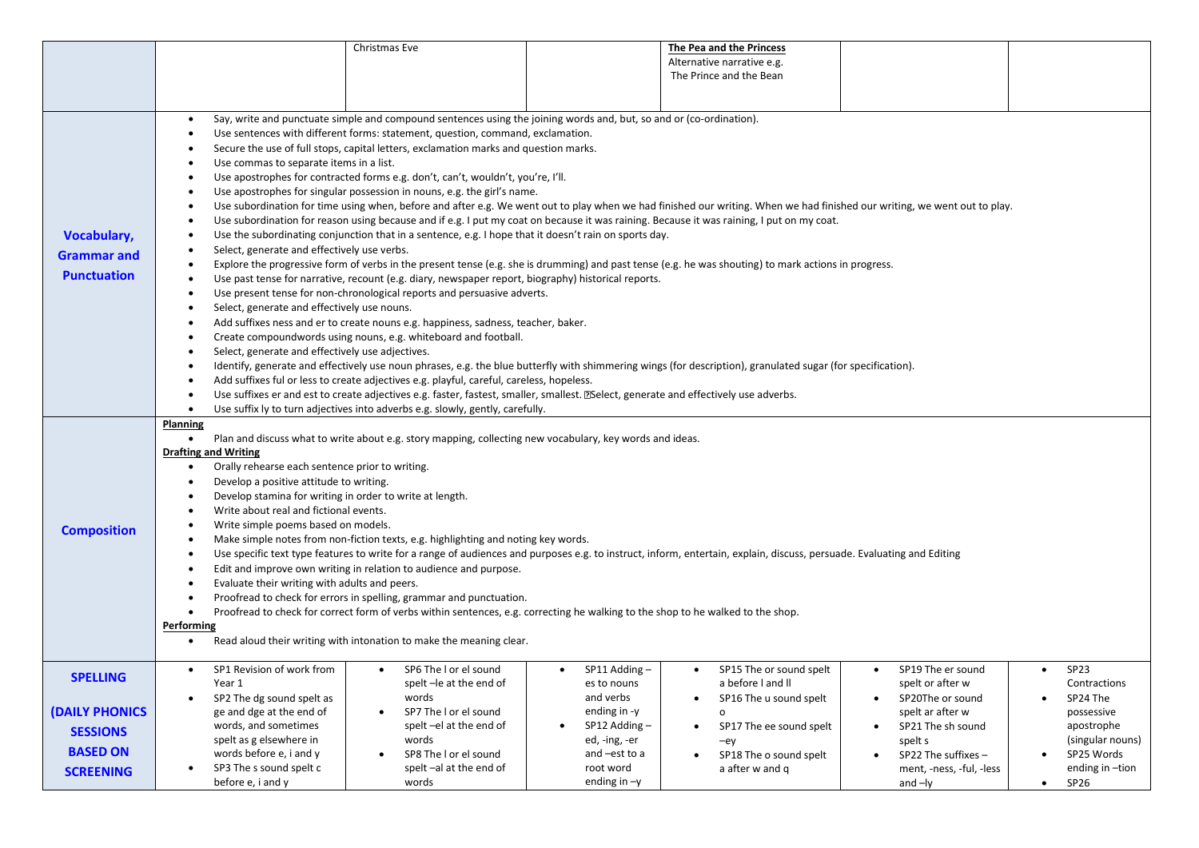|                       |                                                                                                                                                                                                                                                                                                                   | Christmas Eve                                                                                                                                                             |                             | The Pea and the Princess             |                                       |                               |  |  |  |  |  |
|-----------------------|-------------------------------------------------------------------------------------------------------------------------------------------------------------------------------------------------------------------------------------------------------------------------------------------------------------------|---------------------------------------------------------------------------------------------------------------------------------------------------------------------------|-----------------------------|--------------------------------------|---------------------------------------|-------------------------------|--|--|--|--|--|
|                       |                                                                                                                                                                                                                                                                                                                   |                                                                                                                                                                           |                             | Alternative narrative e.g.           |                                       |                               |  |  |  |  |  |
|                       |                                                                                                                                                                                                                                                                                                                   |                                                                                                                                                                           |                             | The Prince and the Bean              |                                       |                               |  |  |  |  |  |
|                       |                                                                                                                                                                                                                                                                                                                   |                                                                                                                                                                           |                             |                                      |                                       |                               |  |  |  |  |  |
|                       |                                                                                                                                                                                                                                                                                                                   |                                                                                                                                                                           |                             |                                      |                                       |                               |  |  |  |  |  |
|                       | Say, write and punctuate simple and compound sentences using the joining words and, but, so and or (co-ordination).<br>$\bullet$                                                                                                                                                                                  |                                                                                                                                                                           |                             |                                      |                                       |                               |  |  |  |  |  |
|                       | Use sentences with different forms: statement, question, command, exclamation.<br>$\bullet$<br>Secure the use of full stops, capital letters, exclamation marks and question marks.<br>Use commas to separate items in a list.<br>Use apostrophes for contracted forms e.g. don't, can't, wouldn't, you're, I'll. |                                                                                                                                                                           |                             |                                      |                                       |                               |  |  |  |  |  |
|                       |                                                                                                                                                                                                                                                                                                                   |                                                                                                                                                                           |                             |                                      |                                       |                               |  |  |  |  |  |
|                       |                                                                                                                                                                                                                                                                                                                   |                                                                                                                                                                           |                             |                                      |                                       |                               |  |  |  |  |  |
|                       |                                                                                                                                                                                                                                                                                                                   |                                                                                                                                                                           |                             |                                      |                                       |                               |  |  |  |  |  |
|                       | Use apostrophes for singular possession in nouns, e.g. the girl's name.                                                                                                                                                                                                                                           |                                                                                                                                                                           |                             |                                      |                                       |                               |  |  |  |  |  |
|                       | $\bullet$                                                                                                                                                                                                                                                                                                         | Use subordination for time using when, before and after e.g. We went out to play when we had finished our writing. When we had finished our writing, we went out to play. |                             |                                      |                                       |                               |  |  |  |  |  |
|                       |                                                                                                                                                                                                                                                                                                                   | Use subordination for reason using because and if e.g. I put my coat on because it was raining. Because it was raining, I put on my coat.                                 |                             |                                      |                                       |                               |  |  |  |  |  |
| <b>Vocabulary,</b>    | $\bullet$                                                                                                                                                                                                                                                                                                         | Use the subordinating conjunction that in a sentence, e.g. I hope that it doesn't rain on sports day.                                                                     |                             |                                      |                                       |                               |  |  |  |  |  |
| <b>Grammar and</b>    | $\bullet$                                                                                                                                                                                                                                                                                                         | Select, generate and effectively use verbs.                                                                                                                               |                             |                                      |                                       |                               |  |  |  |  |  |
|                       |                                                                                                                                                                                                                                                                                                                   | Explore the progressive form of verbs in the present tense (e.g. she is drumming) and past tense (e.g. he was shouting) to mark actions in progress.                      |                             |                                      |                                       |                               |  |  |  |  |  |
| <b>Punctuation</b>    | $\bullet$                                                                                                                                                                                                                                                                                                         | Use past tense for narrative, recount (e.g. diary, newspaper report, biography) historical reports.                                                                       |                             |                                      |                                       |                               |  |  |  |  |  |
|                       |                                                                                                                                                                                                                                                                                                                   | Use present tense for non-chronological reports and persuasive adverts.                                                                                                   |                             |                                      |                                       |                               |  |  |  |  |  |
|                       | Select, generate and effectively use nouns.<br>$\bullet$                                                                                                                                                                                                                                                          |                                                                                                                                                                           |                             |                                      |                                       |                               |  |  |  |  |  |
|                       |                                                                                                                                                                                                                                                                                                                   | Add suffixes ness and er to create nouns e.g. happiness, sadness, teacher, baker.                                                                                         |                             |                                      |                                       |                               |  |  |  |  |  |
|                       |                                                                                                                                                                                                                                                                                                                   | Create compoundwords using nouns, e.g. whiteboard and football.                                                                                                           |                             |                                      |                                       |                               |  |  |  |  |  |
|                       | Select, generate and effectively use adjectives.<br>$\bullet$                                                                                                                                                                                                                                                     |                                                                                                                                                                           |                             |                                      |                                       |                               |  |  |  |  |  |
|                       |                                                                                                                                                                                                                                                                                                                   | Identify, generate and effectively use noun phrases, e.g. the blue butterfly with shimmering wings (for description), granulated sugar (for specification).               |                             |                                      |                                       |                               |  |  |  |  |  |
|                       | Add suffixes ful or less to create adjectives e.g. playful, careful, careless, hopeless.                                                                                                                                                                                                                          |                                                                                                                                                                           |                             |                                      |                                       |                               |  |  |  |  |  |
|                       | Use suffixes er and est to create adjectives e.g. faster, fastest, smaller, smallest. [2] Select, generate and effectively use adverbs.                                                                                                                                                                           |                                                                                                                                                                           |                             |                                      |                                       |                               |  |  |  |  |  |
|                       | $\bullet$                                                                                                                                                                                                                                                                                                         | Use suffix ly to turn adjectives into adverbs e.g. slowly, gently, carefully.                                                                                             |                             |                                      |                                       |                               |  |  |  |  |  |
|                       |                                                                                                                                                                                                                                                                                                                   |                                                                                                                                                                           |                             |                                      |                                       |                               |  |  |  |  |  |
|                       | <b>Planning</b>                                                                                                                                                                                                                                                                                                   |                                                                                                                                                                           |                             |                                      |                                       |                               |  |  |  |  |  |
|                       | $\bullet$                                                                                                                                                                                                                                                                                                         | Plan and discuss what to write about e.g. story mapping, collecting new vocabulary, key words and ideas.                                                                  |                             |                                      |                                       |                               |  |  |  |  |  |
|                       | <b>Drafting and Writing</b>                                                                                                                                                                                                                                                                                       |                                                                                                                                                                           |                             |                                      |                                       |                               |  |  |  |  |  |
|                       | Orally rehearse each sentence prior to writing.<br>$\bullet$                                                                                                                                                                                                                                                      |                                                                                                                                                                           |                             |                                      |                                       |                               |  |  |  |  |  |
|                       | Develop a positive attitude to writing.<br>$\bullet$                                                                                                                                                                                                                                                              |                                                                                                                                                                           |                             |                                      |                                       |                               |  |  |  |  |  |
|                       | Develop stamina for writing in order to write at length.                                                                                                                                                                                                                                                          |                                                                                                                                                                           |                             |                                      |                                       |                               |  |  |  |  |  |
|                       | Write about real and fictional events.<br>$\bullet$                                                                                                                                                                                                                                                               |                                                                                                                                                                           |                             |                                      |                                       |                               |  |  |  |  |  |
|                       | Write simple poems based on models.                                                                                                                                                                                                                                                                               |                                                                                                                                                                           |                             |                                      |                                       |                               |  |  |  |  |  |
| <b>Composition</b>    |                                                                                                                                                                                                                                                                                                                   | Make simple notes from non-fiction texts, e.g. highlighting and noting key words.                                                                                         |                             |                                      |                                       |                               |  |  |  |  |  |
|                       |                                                                                                                                                                                                                                                                                                                   | Use specific text type features to write for a range of audiences and purposes e.g. to instruct, inform, entertain, explain, discuss, persuade. Evaluating and Editing    |                             |                                      |                                       |                               |  |  |  |  |  |
|                       |                                                                                                                                                                                                                                                                                                                   | Edit and improve own writing in relation to audience and purpose.                                                                                                         |                             |                                      |                                       |                               |  |  |  |  |  |
|                       | Evaluate their writing with adults and peers.                                                                                                                                                                                                                                                                     |                                                                                                                                                                           |                             |                                      |                                       |                               |  |  |  |  |  |
|                       |                                                                                                                                                                                                                                                                                                                   | Proofread to check for errors in spelling, grammar and punctuation.                                                                                                       |                             |                                      |                                       |                               |  |  |  |  |  |
|                       | $\bullet$                                                                                                                                                                                                                                                                                                         | Proofread to check for correct form of verbs within sentences, e.g. correcting he walking to the shop to he walked to the shop.                                           |                             |                                      |                                       |                               |  |  |  |  |  |
|                       | Performing                                                                                                                                                                                                                                                                                                        |                                                                                                                                                                           |                             |                                      |                                       |                               |  |  |  |  |  |
|                       |                                                                                                                                                                                                                                                                                                                   | Read aloud their writing with intonation to make the meaning clear.                                                                                                       |                             |                                      |                                       |                               |  |  |  |  |  |
|                       | SP1 Revision of work from                                                                                                                                                                                                                                                                                         | SP6 The I or el sound<br>$\bullet$                                                                                                                                        | SP11 Adding -<br>$\bullet$  | SP15 The or sound spelt<br>$\bullet$ | SP19 The er sound<br>$\bullet$        | SP <sub>23</sub><br>$\bullet$ |  |  |  |  |  |
| <b>SPELLING</b>       | Year 1                                                                                                                                                                                                                                                                                                            | spelt-le at the end of                                                                                                                                                    | es to nouns                 | a before I and II                    | spelt or after w                      | Contractions                  |  |  |  |  |  |
|                       | SP2 The dg sound spelt as<br>$\bullet$                                                                                                                                                                                                                                                                            | words                                                                                                                                                                     | and verbs                   | SP16 The u sound spelt<br>$\bullet$  | SP20The or sound<br>$\bullet$         | SP24 The<br>$\bullet$         |  |  |  |  |  |
| <b>(DAILY PHONICS</b> | ge and dge at the end of                                                                                                                                                                                                                                                                                          | SP7 The I or el sound<br>$\bullet$                                                                                                                                        | ending in -y                | O                                    | spelt ar after w                      | possessive                    |  |  |  |  |  |
|                       | words, and sometimes                                                                                                                                                                                                                                                                                              | spelt-el at the end of                                                                                                                                                    | SP12 Adding-                | SP17 The ee sound spelt              | SP21 The sh sound                     | apostrophe                    |  |  |  |  |  |
| <b>SESSIONS</b>       | spelt as g elsewhere in                                                                                                                                                                                                                                                                                           | words                                                                                                                                                                     | ed, -ing, -er               | -ey                                  | spelt s                               | (singular nouns)              |  |  |  |  |  |
| <b>BASED ON</b>       | words before e, i and y                                                                                                                                                                                                                                                                                           | SP8 The I or el sound<br>$\bullet$                                                                                                                                        | and -est to a               | SP18 The o sound spelt               | SP22 The suffixes -                   | SP25 Words                    |  |  |  |  |  |
| <b>SCREENING</b>      | SP3 The s sound spelt c<br>before e, i and y                                                                                                                                                                                                                                                                      | spelt-al at the end of                                                                                                                                                    | root word<br>ending in $-y$ | a after w and q                      | ment, -ness, -ful, -less<br>and $-ly$ | ending in -tion               |  |  |  |  |  |